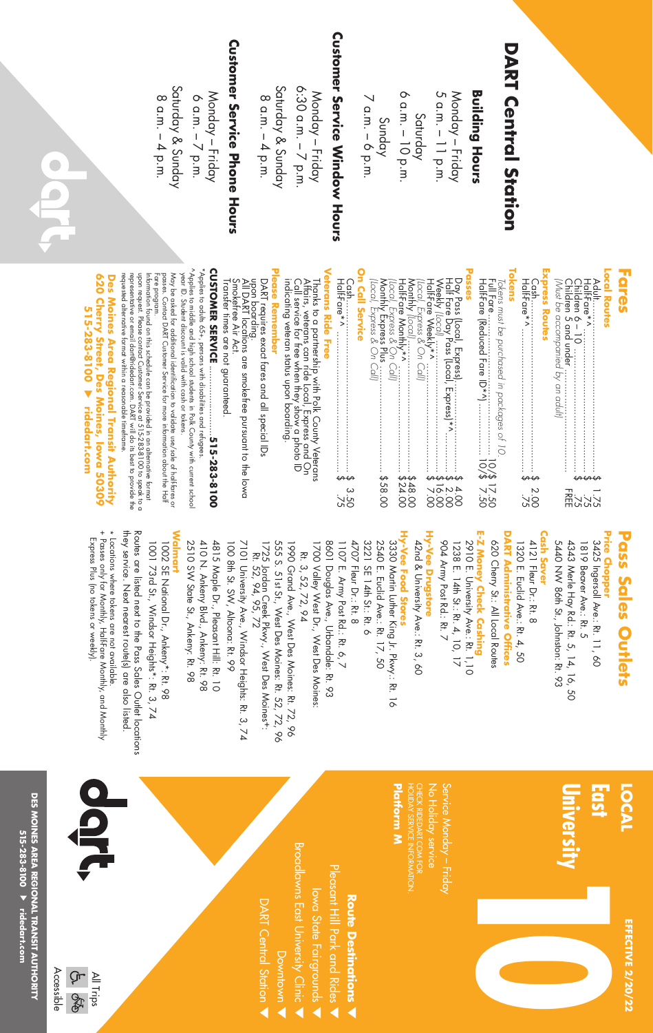|                                       | Local Routes<br>にいいこと<br>ディング                                                                                                                                                                                                                                                                                    | Price Chopper<br>3425 Ingersoll Ave.: Rt. 11, 60<br>5440 NW 86th St., Johnston: Rt. 93<br>1819 Beaver Ave.: Rt. 5<br>4343 Merle Hay Rd.: Rt. 5, 14, 16, 50 | East<br>University                                          |
|---------------------------------------|------------------------------------------------------------------------------------------------------------------------------------------------------------------------------------------------------------------------------------------------------------------------------------------------------------------|------------------------------------------------------------------------------------------------------------------------------------------------------------|-------------------------------------------------------------|
| <b>DART Central Station</b>           | Tokens<br><b>Express Routes</b><br>Tokens must be purchased in packages of 10.<br>2.00<br>2.75                                                                                                                                                                                                                   | <b>DART Administrative Offices</b><br><b>Cash Saver</b><br>620 Cherry St: All Local Routes<br>412<br>1320 E. Euclid Ave.: Rt. 4, 50<br>Fleur Dr.: Rt. 8    |                                                             |
| <b>Building Hours</b>                 | Passes                                                                                                                                                                                                                                                                                                           | E-Z Money Check Cashing<br>2910 E. University Ave.: Rt. 1,10                                                                                               |                                                             |
| Monday – Friday<br>5 a.m. – 11 p.m.   |                                                                                                                                                                                                                                                                                                                  | 1238 E. 14th St.: Rt. 4, 10, 17<br>904 Army Post Rd.: Rt. 7                                                                                                | Service Monday - Friday<br>No Holiday service               |
| Saturday<br>6 a.m. – 10 p.m.          |                                                                                                                                                                                                                                                                                                                  | Hy-Vee Food Stores<br>Hy-Vee Drugstore<br>42 <sub>nd</sub><br>I & University Ave.: Rt. 3, 60                                                               | HOLIDAY SERVICE INFORMATION.<br>CHECK RIDEDART.COM FOR      |
|                                       |                                                                                                                                                                                                                                                                                                                  | 2540 E. Euclid Ave.: Rt. 17, 50<br>3330 Martin Luther King Jr. Pkwy:: Rt. 16                                                                               | Platform M                                                  |
| Sunday<br>7 a.m. – 6 p.m.             | On Call Service                                                                                                                                                                                                                                                                                                  | 4707 Fleur Dr.: Rt. 8<br>3221<br>SE 14th St.: Rt. 6                                                                                                        | <b>Route Destinations</b>                                   |
| <b>Customer Service Window Hours</b>  | <b>Veterans Ride Free</b><br>3 20<br>275                                                                                                                                                                                                                                                                         | 1098<br>1107 E. Army Post Rd.: Rt. 6, 7<br>Douglas Ave., Urbandale: Rt. 93                                                                                 | Pleasant Hill Park and Rides                                |
| Monday – Friday<br>6:30 a.m. – 7 p.m. | Affairs, veterans can ride Local, Express and On<br>Call service for free when they show a photo ID<br>indicating veteran status upon boarding.<br>Thanks to a partnership with Polk County Veterans                                                                                                             | 1700 Valley West Dr., West Des Moines:<br>Rt. 3, 52, 72, 94                                                                                                | Broadlawns East University Clinic<br>lowa State Fairgrounds |
| Saturday & Sunday                     | <b>Please Remember</b>                                                                                                                                                                                                                                                                                           | 555<br>1990 Grand Ave., West Des Moines: Rt. 72, 96<br>S. 51st St., West Des Moines: Rt. 52, 72, 96                                                        | Downtown                                                    |
| $8 a.m. - 4 p.m.$                     | DART requires exact fares and all special IDs                                                                                                                                                                                                                                                                    | 1725 Jordan Creek Pkwy., West Des Moines+:<br>Rt. 52, 94, 95, 72                                                                                           | <b>DART Central Station</b>                                 |
| <b>Customer Service Phone Hours</b>   | upon boarding.<br>All DART locations are smokefree pursuant to the lowa<br>Smokefree Air Act.<br>Transfer times are not guaranteed                                                                                                                                                                               | 7101<br>100 8th St. SW, Altoona: Rt. 99<br>I University Ave., Windsor Heights: Rt. 3, 74                                                                   |                                                             |
| Monday – Friday<br>6 a.m. – 7 p.m.    | *Applies to adults 65+, persons with disabilities and refugees                                                                                                                                                                                                                                                   | 4815 Maple Dr., Pleasant Hill: Rt. 10<br>410 N. Ankeny Blvd., Ankeny: Rt. 98                                                                               |                                                             |
| Saturday & Sunday                     | ^Applies to middle and high school students in Polk County with current school<br>year ID. Student discount is valid with cash or tokens.                                                                                                                                                                        | <b>Walmart</b><br>2510 SW State St., Ankeny: Rt. 98                                                                                                        |                                                             |
| $8$ a.m. $-4$ p.m.                    | May be asked for additional identification to validate use/sale of half-fares or<br>passes. Contact DART Customer Service for more information about the Half<br>Fare program.                                                                                                                                   | $\overline{1001}$<br>1002 SE National Dr., Ankeny*: Rt. 98<br>1 73rd St., Windsor Heights*: Rt. 3, 74                                                      |                                                             |
|                                       | upon request. Please contact Customer Service at 515-283-8100 to speak to a<br>representative or email dart@ridedart.com. DART will do its best to provide the<br>respected to the consecutive format which is a reasonable time.<br>Information found on this schedule can be provided in an diterrative format | they service. Next nearest route(s) are also listed.<br>Routes are listed next to the Pass Sales Outlet locations                                          |                                                             |

## **Fares**

| Halt-Fare*' |        |  |
|-------------|--------|--|
|             |        |  |
|             |        |  |
|             | :<br>< |  |
|             |        |  |

| Half-Fare (Reduced Fare ID*^) | lokens must be purchased in packages of 10. |
|-------------------------------|---------------------------------------------|
|                               |                                             |
|                               |                                             |
|                               |                                             |
|                               |                                             |
|                               |                                             |
|                               |                                             |
|                               |                                             |
|                               |                                             |
|                               |                                             |
|                               |                                             |

| n Call Service<br>Half-Fare*^<br>Cash<br>$52.58$<br>$53.56$<br>$55.55$ | r rain die worming<br>(Local, Express & On Call)<br>Monthly Express Plus<br>(Local, Express & On Call) | <b>asses</b> | TIMILI ME INCORPORATION |
|------------------------------------------------------------------------|--------------------------------------------------------------------------------------------------------|--------------|-------------------------|
|------------------------------------------------------------------------|--------------------------------------------------------------------------------------------------------|--------------|-------------------------|

# **Veterans Ride Free**  Free \$

# **Please Remember**

## **CUSTOMER SERVICE** ..........................**515-283-8100**

requested alternative format within a reasonable timeframe. representative or email dart@ridedart.com. DART will do its best to provide the upon request. Please contact Customer Service at 515-283-8100 to speak to a Information found on this schedule can be provided in an alternative format format within a reasonable timeframe. iil darf@ridedart.com. DART will do its best to provide the contact Customer Service at 515-283-8100 to speak to a this schedule can be provided in an alternative format

#### 620 Cherry Street, Des Moines, Iowa 50309 **620 Cherry Street, Des Moines, Iowa 50309**  Des Moines Area Regional Transit Authority **Des Moines Area Regional Transit Authority** 515-283-8100 ▶ ridedart.com **515-283-8100 ridedart.com**

# **Pass Sales Outlets Pass Sales Outlets**

#### **Cash Saver Cash Saver**

# 620 Cherry St.: All Local Routes 620 Cherry St.: All Local Routes

### **Hy-Vee Drugstore Hy-Vee Drugstore**

## **Hy-Vee Food Stores Hy-Vee Food Stores**

#### **Walmart Walmart**

they service. Next nearest route(s) are also listed Routes are listed next to the Pass Sales Outlet locations they service. Next nearest route(s) are also listed. Routes are listed next to the Pass Sales Outlet locations Locations where tokens are not available.

- + Passes only for Monthly, Half-Fare Monthly, and Monthly \* Locations where tokens are not available. + Passes only for Monthly, Half-Fare Monthly, and Monthly
- Express Plus (no tokens or weekly) Express Plus (no tokens or weekly).

All Trips

ζīτ, **PRP** 

Accessible

**DES MOINES AREA REGIONAL TRANSIT AUTHORITY 515-283-8100 ridedart.com**

DES MOINES AREA REGIONAL TRANSIT AUTHORITY 515-283-8100 ▶ ridedart.com

#### **University East LOCAL**

**EFFECTIVE 2/20/22**

**EFFECTIVE 2/20/22** 

### Platform M **Platform M**



- 
- 
- 

Downtown v

**DART Central Station** 

- Pleasant Hill Park and Rides Pleasant Hill Park and Rides
- 
- 
- 
- 
- 
- 
- 
- 
- 
- 
- 
- 
- 
- 
- 
- 
- 
- 
- 
-